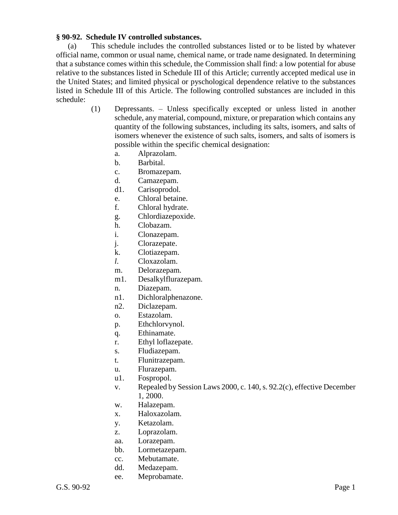## **§ 90-92. Schedule IV controlled substances.**

(a) This schedule includes the controlled substances listed or to be listed by whatever official name, common or usual name, chemical name, or trade name designated. In determining that a substance comes within this schedule, the Commission shall find: a low potential for abuse relative to the substances listed in Schedule III of this Article; currently accepted medical use in the United States; and limited physical or pyschological dependence relative to the substances listed in Schedule III of this Article. The following controlled substances are included in this schedule:

- (1) Depressants. Unless specifically excepted or unless listed in another schedule, any material, compound, mixture, or preparation which contains any quantity of the following substances, including its salts, isomers, and salts of isomers whenever the existence of such salts, isomers, and salts of isomers is possible within the specific chemical designation:
	- a. Alprazolam.
	- b. Barbital.
	- c. Bromazepam.
	- d. Camazepam.
	- d1. Carisoprodol.
	- e. Chloral betaine.
	- f. Chloral hydrate.
	- g. Chlordiazepoxide.
	- h. Clobazam.
	- i. Clonazepam.
	- j. Clorazepate.
	- k. Clotiazepam.
	- *l*. Cloxazolam.
	- m. Delorazepam.
	- m1. Desalkylflurazepam.
	- n. Diazepam.
	- n1. Dichloralphenazone.
	- n2. Diclazepam.
	- o. Estazolam.
	- p. Ethchlorvynol.
	- q. Ethinamate.
	- r. Ethyl loflazepate.
	- s. Fludiazepam.
	- t. Flunitrazepam.
	- u. Flurazepam.
	- u1. Fospropol.
	- v. Repealed by Session Laws 2000, c. 140, s. 92.2(c), effective December 1, 2000.
	- w. Halazepam.
	- x. Haloxazolam.
	- y. Ketazolam.
	- z. Loprazolam.
	- aa. Lorazepam.
	- bb. Lormetazepam.
	- cc. Mebutamate.
	- dd. Medazepam.
	- ee. Meprobamate.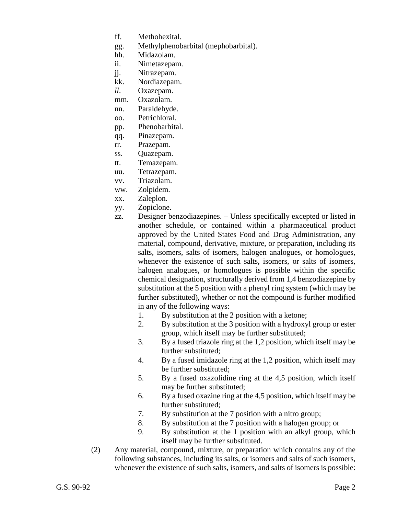- ff. Methohexital.
- gg. Methylphenobarbital (mephobarbital).
- hh. Midazolam.
- ii. Nimetazepam.
- jj. Nitrazepam.
- kk. Nordiazepam.
- *ll*. Oxazepam.
- mm. Oxazolam.
- nn. Paraldehyde.
- oo. Petrichloral.
- pp. Phenobarbital.
- qq. Pinazepam.
- rr. Prazepam.
- ss. Quazepam.
- tt. Temazepam.
- uu. Tetrazepam.
- vv. Triazolam.
- ww. Zolpidem.
- xx. Zaleplon.
- yy. Zopiclone.
- zz. Designer benzodiazepines. Unless specifically excepted or listed in another schedule, or contained within a pharmaceutical product approved by the United States Food and Drug Administration, any material, compound, derivative, mixture, or preparation, including its salts, isomers, salts of isomers, halogen analogues, or homologues, whenever the existence of such salts, isomers, or salts of isomers, halogen analogues, or homologues is possible within the specific chemical designation, structurally derived from 1,4 benzodiazepine by substitution at the 5 position with a phenyl ring system (which may be further substituted), whether or not the compound is further modified in any of the following ways:
	- 1. By substitution at the 2 position with a ketone;
	- 2. By substitution at the 3 position with a hydroxyl group or ester group, which itself may be further substituted;
	- 3. By a fused triazole ring at the 1,2 position, which itself may be further substituted;
	- 4. By a fused imidazole ring at the 1,2 position, which itself may be further substituted;
	- 5. By a fused oxazolidine ring at the 4,5 position, which itself may be further substituted;
	- 6. By a fused oxazine ring at the 4,5 position, which itself may be further substituted;
	- 7. By substitution at the 7 position with a nitro group;
	- 8. By substitution at the 7 position with a halogen group; or
	- 9. By substitution at the 1 position with an alkyl group, which itself may be further substituted.
- (2) Any material, compound, mixture, or preparation which contains any of the following substances, including its salts, or isomers and salts of such isomers, whenever the existence of such salts, isomers, and salts of isomers is possible: